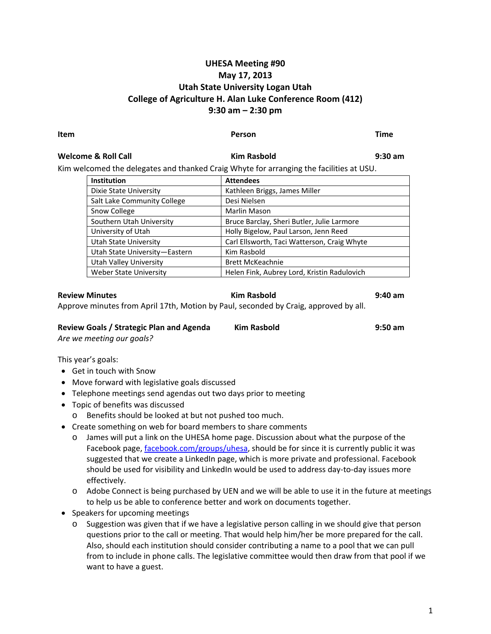# **UHESA Meeting #90 May 17, 2013 Utah State University Logan Utah College of Agriculture H. Alan Luke Conference Room (412) 9:30 am – 2:30 pm**

### **Item Person Time**

## **Welcome & Roll Call Kim Rasbold 9:30 am**

Kim welcomed the delegates and thanked Craig Whyte for arranging the facilities at USU.

| <b>Institution</b>            | <b>Attendees</b>                            |
|-------------------------------|---------------------------------------------|
| Dixie State University        | Kathleen Briggs, James Miller               |
| Salt Lake Community College   | Desi Nielsen                                |
| Snow College                  | Marlin Mason                                |
| Southern Utah University      | Bruce Barclay, Sheri Butler, Julie Larmore  |
| University of Utah            | Holly Bigelow, Paul Larson, Jenn Reed       |
| Utah State University         | Carl Ellsworth, Taci Watterson, Craig Whyte |
| Utah State University-Eastern | Kim Rasbold                                 |
| <b>Utah Valley University</b> | <b>Brett McKeachnie</b>                     |
| <b>Weber State University</b> | Helen Fink, Aubrey Lord, Kristin Radulovich |

**Review Minutes Kim Rasbold 9:40 am** Approve minutes from April 17th, Motion by Paul, seconded by Craig, approved by all.

| Review Goals / Strategic Plan and Agenda | Kim Rasbold | $9:50$ am |
|------------------------------------------|-------------|-----------|
| Are we meeting our goals?                |             |           |

This year's goals:

- Get in touch with Snow
- Move forward with legislative goals discussed
- Telephone meetings send agendas out two days prior to meeting
- Topic of benefits was discussed
	- o Benefits should be looked at but not pushed too much.
- Create something on web for board members to share comments
	- o James will put a link on the UHESA home page. Discussion about what the purpose of the Facebook page, facebook.com/groups/uhesa, should be for since it is currently public it was suggested that we create a LinkedIn page, which is more private and professional. Facebook should be used for visibility and LinkedIn would be used to address day-to-day issues more effectively.
	- o Adobe Connect is being purchased by UEN and we will be able to use it in the future at meetings to help us be able to conference better and work on documents together.
- Speakers for upcoming meetings
	- $\circ$  Suggestion was given that if we have a legislative person calling in we should give that person questions prior to the call or meeting. That would help him/her be more prepared for the call. Also, should each institution should consider contributing a name to a pool that we can pull from to include in phone calls. The legislative committee would then draw from that pool if we want to have a guest.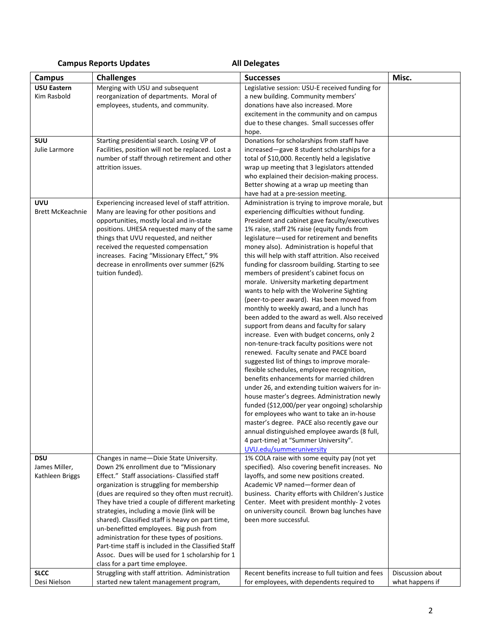# **Campus Reports Updates All Delegates**

| <b>Campus</b>                                  | <b>Challenges</b>                                                                                                                                                                                                                                                                                                                                                                                                                                                                                                                                                                                                               | <b>Successes</b>                                                                                                                                                                                                                                                                                                                                                                                                                                                                                                                                                                                                                                                                                                                                                                                                                                                                                                                                                                                                                                                                                                                                                                                                                                                                                                                                                                           | Misc.                               |
|------------------------------------------------|---------------------------------------------------------------------------------------------------------------------------------------------------------------------------------------------------------------------------------------------------------------------------------------------------------------------------------------------------------------------------------------------------------------------------------------------------------------------------------------------------------------------------------------------------------------------------------------------------------------------------------|--------------------------------------------------------------------------------------------------------------------------------------------------------------------------------------------------------------------------------------------------------------------------------------------------------------------------------------------------------------------------------------------------------------------------------------------------------------------------------------------------------------------------------------------------------------------------------------------------------------------------------------------------------------------------------------------------------------------------------------------------------------------------------------------------------------------------------------------------------------------------------------------------------------------------------------------------------------------------------------------------------------------------------------------------------------------------------------------------------------------------------------------------------------------------------------------------------------------------------------------------------------------------------------------------------------------------------------------------------------------------------------------|-------------------------------------|
| <b>USU Eastern</b><br>Kim Rasbold              | Merging with USU and subsequent<br>reorganization of departments. Moral of<br>employees, students, and community.                                                                                                                                                                                                                                                                                                                                                                                                                                                                                                               | Legislative session: USU-E received funding for<br>a new building. Community members'<br>donations have also increased. More<br>excitement in the community and on campus<br>due to these changes. Small successes offer<br>hope.                                                                                                                                                                                                                                                                                                                                                                                                                                                                                                                                                                                                                                                                                                                                                                                                                                                                                                                                                                                                                                                                                                                                                          |                                     |
| SUU<br>Julie Larmore                           | Starting presidential search. Losing VP of<br>Facilities, position will not be replaced. Lost a<br>number of staff through retirement and other<br>attrition issues.                                                                                                                                                                                                                                                                                                                                                                                                                                                            | Donations for scholarships from staff have<br>increased-gave 8 student scholarships for a<br>total of \$10,000. Recently held a legislative<br>wrap up meeting that 3 legislators attended<br>who explained their decision-making process.<br>Better showing at a wrap up meeting than<br>have had at a pre-session meeting.                                                                                                                                                                                                                                                                                                                                                                                                                                                                                                                                                                                                                                                                                                                                                                                                                                                                                                                                                                                                                                                               |                                     |
| <b>UVU</b><br><b>Brett McKeachnie</b>          | Experiencing increased level of staff attrition.<br>Many are leaving for other positions and<br>opportunities, mostly local and in-state<br>positions. UHESA requested many of the same<br>things that UVU requested, and neither<br>received the requested compensation<br>increases. Facing "Missionary Effect," 9%<br>decrease in enrollments over summer (62%<br>tuition funded).                                                                                                                                                                                                                                           | Administration is trying to improve morale, but<br>experiencing difficulties without funding.<br>President and cabinet gave faculty/executives<br>1% raise, staff 2% raise (equity funds from<br>legislature-used for retirement and benefits<br>money also). Administration is hopeful that<br>this will help with staff attrition. Also received<br>funding for classroom building. Starting to see<br>members of president's cabinet focus on<br>morale. University marketing department<br>wants to help with the Wolverine Sighting<br>(peer-to-peer award). Has been moved from<br>monthly to weekly award, and a lunch has<br>been added to the award as well. Also received<br>support from deans and faculty for salary<br>increase. Even with budget concerns, only 2<br>non-tenure-track faculty positions were not<br>renewed. Faculty senate and PACE board<br>suggested list of things to improve morale-<br>flexible schedules, employee recognition,<br>benefits enhancements for married children<br>under 26, and extending tuition waivers for in-<br>house master's degrees. Administration newly<br>funded (\$12,000/per year ongoing) scholarship<br>for employees who want to take an in-house<br>master's degree. PACE also recently gave our<br>annual distinguished employee awards (8 full,<br>4 part-time) at "Summer University".<br>UVU.edu/summeruniversity |                                     |
| <b>DSU</b><br>James Miller,<br>Kathleen Briggs | Changes in name-Dixie State University.<br>Down 2% enrollment due to "Missionary<br>Effect." Staff associations- Classified staff<br>organization is struggling for membership<br>(dues are required so they often must recruit).<br>They have tried a couple of different marketing<br>strategies, including a movie (link will be<br>shared). Classified staff is heavy on part time,<br>un-benefitted employees. Big push from<br>administration for these types of positions.<br>Part-time staff is included in the Classified Staff<br>Assoc. Dues will be used for 1 scholarship for 1<br>class for a part time employee. | 1% COLA raise with some equity pay (not yet<br>specified). Also covering benefit increases. No<br>layoffs, and some new positions created.<br>Academic VP named-former dean of<br>business. Charity efforts with Children's Justice<br>Center. Meet with president monthly- 2 votes<br>on university council. Brown bag lunches have<br>been more successful.                                                                                                                                                                                                                                                                                                                                                                                                                                                                                                                                                                                                                                                                                                                                                                                                                                                                                                                                                                                                                              |                                     |
| <b>SLCC</b><br>Desi Nielson                    | Struggling with staff attrition. Administration<br>started new talent management program,                                                                                                                                                                                                                                                                                                                                                                                                                                                                                                                                       | Recent benefits increase to full tuition and fees<br>for employees, with dependents required to                                                                                                                                                                                                                                                                                                                                                                                                                                                                                                                                                                                                                                                                                                                                                                                                                                                                                                                                                                                                                                                                                                                                                                                                                                                                                            | Discussion about<br>what happens if |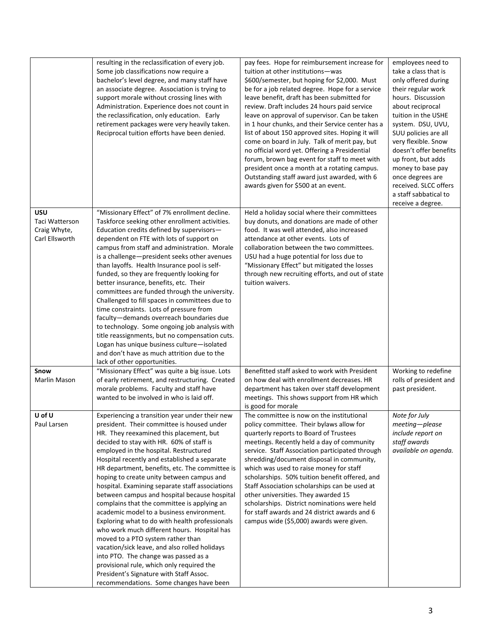|                       | resulting in the reclassification of every job.<br>Some job classifications now require a<br>bachelor's level degree, and many staff have<br>an associate degree. Association is trying to<br>support morale without crossing lines with<br>Administration. Experience does not count in<br>the reclassification, only education. Early<br>retirement packages were very heavily taken.<br>Reciprocal tuition efforts have been denied. | pay fees. Hope for reimbursement increase for<br>tuition at other institutions-was<br>\$600/semester, but hoping for \$2,000. Must<br>be for a job related degree. Hope for a service<br>leave benefit, draft has been submitted for<br>review. Draft includes 24 hours paid service<br>leave on approval of supervisor. Can be taken<br>in 1 hour chunks, and their Service center has a<br>list of about 150 approved sites. Hoping it will<br>come on board in July. Talk of merit pay, but<br>no official word yet. Offering a Presidential<br>forum, brown bag event for staff to meet with<br>president once a month at a rotating campus.<br>Outstanding staff award just awarded, with 6<br>awards given for \$500 at an event. | employees need to<br>take a class that is<br>only offered during<br>their regular work<br>hours. Discussion<br>about reciprocal<br>tuition in the USHE<br>system. DSU, UVU,<br>SUU policies are all<br>very flexible. Snow<br>doesn't offer benefits<br>up front, but adds<br>money to base pay<br>once degrees are<br>received. SLCC offers<br>a staff sabbatical to<br>receive a degree. |
|-----------------------|-----------------------------------------------------------------------------------------------------------------------------------------------------------------------------------------------------------------------------------------------------------------------------------------------------------------------------------------------------------------------------------------------------------------------------------------|-----------------------------------------------------------------------------------------------------------------------------------------------------------------------------------------------------------------------------------------------------------------------------------------------------------------------------------------------------------------------------------------------------------------------------------------------------------------------------------------------------------------------------------------------------------------------------------------------------------------------------------------------------------------------------------------------------------------------------------------|--------------------------------------------------------------------------------------------------------------------------------------------------------------------------------------------------------------------------------------------------------------------------------------------------------------------------------------------------------------------------------------------|
| USU<br>Taci Watterson | "Missionary Effect" of 7% enrollment decline.<br>Taskforce seeking other enrollment activities.                                                                                                                                                                                                                                                                                                                                         | Held a holiday social where their committees<br>buy donuts, and donations are made of other                                                                                                                                                                                                                                                                                                                                                                                                                                                                                                                                                                                                                                             |                                                                                                                                                                                                                                                                                                                                                                                            |
| Craig Whyte,          | Education credits defined by supervisors-                                                                                                                                                                                                                                                                                                                                                                                               | food. It was well attended, also increased                                                                                                                                                                                                                                                                                                                                                                                                                                                                                                                                                                                                                                                                                              |                                                                                                                                                                                                                                                                                                                                                                                            |
| Carl Ellsworth        | dependent on FTE with lots of support on<br>campus from staff and administration. Morale                                                                                                                                                                                                                                                                                                                                                | attendance at other events. Lots of<br>collaboration between the two committees.                                                                                                                                                                                                                                                                                                                                                                                                                                                                                                                                                                                                                                                        |                                                                                                                                                                                                                                                                                                                                                                                            |
|                       | is a challenge-president seeks other avenues                                                                                                                                                                                                                                                                                                                                                                                            | USU had a huge potential for loss due to                                                                                                                                                                                                                                                                                                                                                                                                                                                                                                                                                                                                                                                                                                |                                                                                                                                                                                                                                                                                                                                                                                            |
|                       | than layoffs. Health Insurance pool is self-<br>funded, so they are frequently looking for                                                                                                                                                                                                                                                                                                                                              | "Missionary Effect" but mitigated the losses<br>through new recruiting efforts, and out of state                                                                                                                                                                                                                                                                                                                                                                                                                                                                                                                                                                                                                                        |                                                                                                                                                                                                                                                                                                                                                                                            |
|                       | better insurance, benefits, etc. Their                                                                                                                                                                                                                                                                                                                                                                                                  | tuition waivers.                                                                                                                                                                                                                                                                                                                                                                                                                                                                                                                                                                                                                                                                                                                        |                                                                                                                                                                                                                                                                                                                                                                                            |
|                       | committees are funded through the university.<br>Challenged to fill spaces in committees due to                                                                                                                                                                                                                                                                                                                                         |                                                                                                                                                                                                                                                                                                                                                                                                                                                                                                                                                                                                                                                                                                                                         |                                                                                                                                                                                                                                                                                                                                                                                            |
|                       | time constraints. Lots of pressure from                                                                                                                                                                                                                                                                                                                                                                                                 |                                                                                                                                                                                                                                                                                                                                                                                                                                                                                                                                                                                                                                                                                                                                         |                                                                                                                                                                                                                                                                                                                                                                                            |
|                       | faculty-demands overreach boundaries due                                                                                                                                                                                                                                                                                                                                                                                                |                                                                                                                                                                                                                                                                                                                                                                                                                                                                                                                                                                                                                                                                                                                                         |                                                                                                                                                                                                                                                                                                                                                                                            |
|                       | to technology. Some ongoing job analysis with<br>title reassignments, but no compensation cuts.                                                                                                                                                                                                                                                                                                                                         |                                                                                                                                                                                                                                                                                                                                                                                                                                                                                                                                                                                                                                                                                                                                         |                                                                                                                                                                                                                                                                                                                                                                                            |
|                       | Logan has unique business culture-isolated                                                                                                                                                                                                                                                                                                                                                                                              |                                                                                                                                                                                                                                                                                                                                                                                                                                                                                                                                                                                                                                                                                                                                         |                                                                                                                                                                                                                                                                                                                                                                                            |
|                       | and don't have as much attrition due to the<br>lack of other opportunities.                                                                                                                                                                                                                                                                                                                                                             |                                                                                                                                                                                                                                                                                                                                                                                                                                                                                                                                                                                                                                                                                                                                         |                                                                                                                                                                                                                                                                                                                                                                                            |
| Snow                  | "Missionary Effect" was quite a big issue. Lots                                                                                                                                                                                                                                                                                                                                                                                         | Benefitted staff asked to work with President                                                                                                                                                                                                                                                                                                                                                                                                                                                                                                                                                                                                                                                                                           | Working to redefine                                                                                                                                                                                                                                                                                                                                                                        |
| Marlin Mason          | of early retirement, and restructuring. Created<br>morale problems. Faculty and staff have                                                                                                                                                                                                                                                                                                                                              | on how deal with enrollment decreases. HR<br>department has taken over staff development                                                                                                                                                                                                                                                                                                                                                                                                                                                                                                                                                                                                                                                | rolls of president and<br>past president.                                                                                                                                                                                                                                                                                                                                                  |
|                       | wanted to be involved in who is laid off.                                                                                                                                                                                                                                                                                                                                                                                               | meetings. This shows support from HR which                                                                                                                                                                                                                                                                                                                                                                                                                                                                                                                                                                                                                                                                                              |                                                                                                                                                                                                                                                                                                                                                                                            |
|                       |                                                                                                                                                                                                                                                                                                                                                                                                                                         | is good for morale                                                                                                                                                                                                                                                                                                                                                                                                                                                                                                                                                                                                                                                                                                                      |                                                                                                                                                                                                                                                                                                                                                                                            |
| U of U<br>Paul Larsen | Experiencing a transition year under their new<br>president. Their committee is housed under                                                                                                                                                                                                                                                                                                                                            | The committee is now on the institutional<br>policy committee. Their bylaws allow for                                                                                                                                                                                                                                                                                                                                                                                                                                                                                                                                                                                                                                                   | Note for July<br>meeting-please                                                                                                                                                                                                                                                                                                                                                            |
|                       | HR. They reexamined this placement, but                                                                                                                                                                                                                                                                                                                                                                                                 | quarterly reports to Board of Trustees                                                                                                                                                                                                                                                                                                                                                                                                                                                                                                                                                                                                                                                                                                  | include report on                                                                                                                                                                                                                                                                                                                                                                          |
|                       | decided to stay with HR. 60% of staff is<br>employed in the hospital. Restructured                                                                                                                                                                                                                                                                                                                                                      | meetings. Recently held a day of community<br>service. Staff Association participated through                                                                                                                                                                                                                                                                                                                                                                                                                                                                                                                                                                                                                                           | staff awards<br>available on agenda.                                                                                                                                                                                                                                                                                                                                                       |
|                       | Hospital recently and established a separate                                                                                                                                                                                                                                                                                                                                                                                            | shredding/document disposal in community,                                                                                                                                                                                                                                                                                                                                                                                                                                                                                                                                                                                                                                                                                               |                                                                                                                                                                                                                                                                                                                                                                                            |
|                       | HR department, benefits, etc. The committee is                                                                                                                                                                                                                                                                                                                                                                                          | which was used to raise money for staff                                                                                                                                                                                                                                                                                                                                                                                                                                                                                                                                                                                                                                                                                                 |                                                                                                                                                                                                                                                                                                                                                                                            |
|                       | hoping to create unity between campus and<br>hospital. Examining separate staff associations                                                                                                                                                                                                                                                                                                                                            | scholarships. 50% tuition benefit offered, and<br>Staff Association scholarships can be used at                                                                                                                                                                                                                                                                                                                                                                                                                                                                                                                                                                                                                                         |                                                                                                                                                                                                                                                                                                                                                                                            |
|                       | between campus and hospital because hospital                                                                                                                                                                                                                                                                                                                                                                                            | other universities. They awarded 15                                                                                                                                                                                                                                                                                                                                                                                                                                                                                                                                                                                                                                                                                                     |                                                                                                                                                                                                                                                                                                                                                                                            |
|                       | complains that the committee is applying an<br>academic model to a business environment.                                                                                                                                                                                                                                                                                                                                                | scholarships. District nominations were held<br>for staff awards and 24 district awards and 6                                                                                                                                                                                                                                                                                                                                                                                                                                                                                                                                                                                                                                           |                                                                                                                                                                                                                                                                                                                                                                                            |
|                       | Exploring what to do with health professionals                                                                                                                                                                                                                                                                                                                                                                                          | campus wide (\$5,000) awards were given.                                                                                                                                                                                                                                                                                                                                                                                                                                                                                                                                                                                                                                                                                                |                                                                                                                                                                                                                                                                                                                                                                                            |
|                       | who work much different hours. Hospital has                                                                                                                                                                                                                                                                                                                                                                                             |                                                                                                                                                                                                                                                                                                                                                                                                                                                                                                                                                                                                                                                                                                                                         |                                                                                                                                                                                                                                                                                                                                                                                            |
|                       | moved to a PTO system rather than<br>vacation/sick leave, and also rolled holidays                                                                                                                                                                                                                                                                                                                                                      |                                                                                                                                                                                                                                                                                                                                                                                                                                                                                                                                                                                                                                                                                                                                         |                                                                                                                                                                                                                                                                                                                                                                                            |
|                       | into PTO. The change was passed as a                                                                                                                                                                                                                                                                                                                                                                                                    |                                                                                                                                                                                                                                                                                                                                                                                                                                                                                                                                                                                                                                                                                                                                         |                                                                                                                                                                                                                                                                                                                                                                                            |
|                       | provisional rule, which only required the                                                                                                                                                                                                                                                                                                                                                                                               |                                                                                                                                                                                                                                                                                                                                                                                                                                                                                                                                                                                                                                                                                                                                         |                                                                                                                                                                                                                                                                                                                                                                                            |
|                       | President's Signature with Staff Assoc.<br>recommendations. Some changes have been                                                                                                                                                                                                                                                                                                                                                      |                                                                                                                                                                                                                                                                                                                                                                                                                                                                                                                                                                                                                                                                                                                                         |                                                                                                                                                                                                                                                                                                                                                                                            |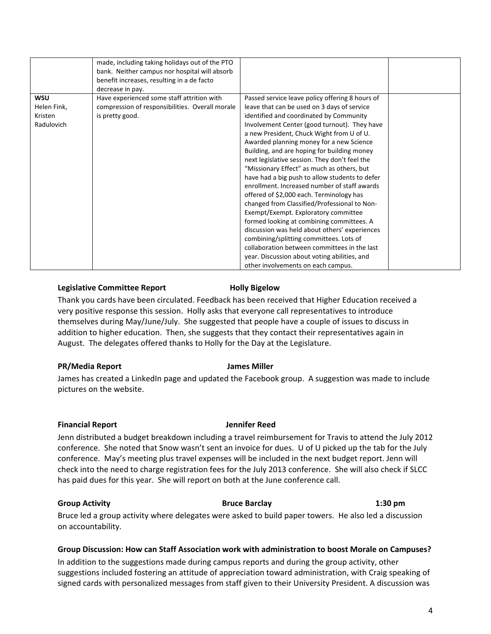|             | made, including taking holidays out of the PTO<br>bank. Neither campus nor hospital will absorb |                                                 |  |
|-------------|-------------------------------------------------------------------------------------------------|-------------------------------------------------|--|
|             | benefit increases, resulting in a de facto                                                      |                                                 |  |
|             | decrease in pay.                                                                                |                                                 |  |
| <b>WSU</b>  | Have experienced some staff attrition with                                                      | Passed service leave policy offering 8 hours of |  |
| Helen Fink, | compression of responsibilities. Overall morale                                                 | leave that can be used on 3 days of service     |  |
| Kristen     | is pretty good.                                                                                 | identified and coordinated by Community         |  |
| Radulovich  |                                                                                                 | Involvement Center (good turnout). They have    |  |
|             |                                                                                                 | a new President, Chuck Wight from U of U.       |  |
|             |                                                                                                 | Awarded planning money for a new Science        |  |
|             |                                                                                                 | Building, and are hoping for building money     |  |
|             |                                                                                                 | next legislative session. They don't feel the   |  |
|             |                                                                                                 | "Missionary Effect" as much as others, but      |  |
|             |                                                                                                 | have had a big push to allow students to defer  |  |
|             |                                                                                                 | enrollment. Increased number of staff awards    |  |
|             |                                                                                                 | offered of \$2,000 each. Terminology has        |  |
|             |                                                                                                 | changed from Classified/Professional to Non-    |  |
|             |                                                                                                 | Exempt/Exempt. Exploratory committee            |  |
|             |                                                                                                 | formed looking at combining committees. A       |  |
|             |                                                                                                 | discussion was held about others' experiences   |  |
|             |                                                                                                 | combining/splitting committees. Lots of         |  |
|             |                                                                                                 | collaboration between committees in the last    |  |
|             |                                                                                                 | year. Discussion about voting abilities, and    |  |
|             |                                                                                                 | other involvements on each campus.              |  |

### **Legislative Committee Report Holly Bigelow**

Thank you cards have been circulated. Feedback has been received that Higher Education received a very positive response this session. Holly asks that everyone call representatives to introduce themselves during May/June/July. She suggested that people have a couple of issues to discuss in addition to higher education. Then, she suggests that they contact their representatives again in August. The delegates offered thanks to Holly for the Day at the Legislature.

### **PR/Media Report James Miller**

James has created a LinkedIn page and updated the Facebook group. A suggestion was made to include pictures on the website.

### **Financial Report Jennifer Reed**

# Jenn distributed a budget breakdown including a travel reimbursement for Travis to attend the July 2012 conference. She noted that Snow wasn't sent an invoice for dues. U of U picked up the tab for the July conference. May's meeting plus travel expenses will be included in the next budget report. Jenn will check into the need to charge registration fees for the July 2013 conference. She will also check if SLCC has paid dues for this year. She will report on both at the June conference call.

### **Group Activity Bruce Barclay 1:30 pm**

Bruce led a group activity where delegates were asked to build paper towers. He also led a discussion on accountability.

# **Group Discussion: How can Staff Association work with administration to boost Morale on Campuses?**

In addition to the suggestions made during campus reports and during the group activity, other suggestions included fostering an attitude of appreciation toward administration, with Craig speaking of signed cards with personalized messages from staff given to their University President. A discussion was